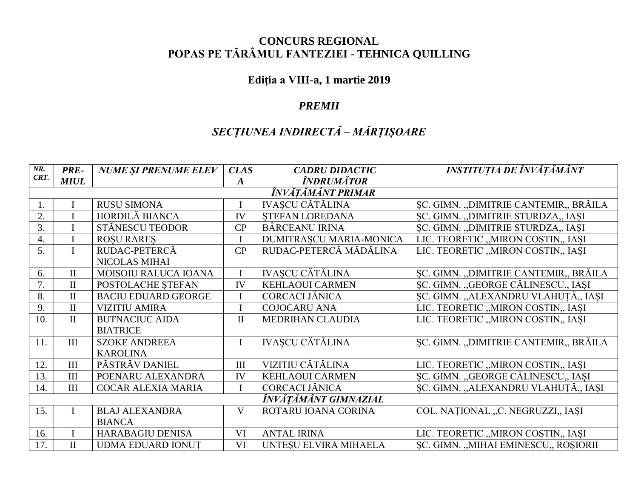### **CONCURS REGIONAL** POPAS PE TĂRÂMUL FANTEZIEI - TEHNICA QUILLING

#### Ediția a VIII-a, 1 martie 2019

#### **PREMII**

## SECȚIUNEA INDIRECTĂ - MĂRȚIȘOARE

| $NR$ .               | <b>PRE-</b>       | <b>NUME ȘI PRENUME ELEV</b> | <b>CLAS</b>      | <b>CADRU DIDACTIC</b>   | INSTITUȚIA DE ÎNVĂȚĂMÂNT              |  |  |  |
|----------------------|-------------------|-----------------------------|------------------|-------------------------|---------------------------------------|--|--|--|
| CRT.                 | <b>MIUL</b>       |                             | $\boldsymbol{A}$ | ÎNDRUMĂTOR              |                                       |  |  |  |
|                      | ÎNVĂTĂMÂNT PRIMAR |                             |                  |                         |                                       |  |  |  |
| 1.                   |                   | <b>RUSU SIMONA</b>          |                  | <b>IVASCU CĂTĂLINA</b>  | SC. GIMN. "DIMITRIE CANTEMIR., BRĂILA |  |  |  |
| 2.                   |                   | HORDILĂ BIANCA              | IV               | STEFAN LOREDANA         | SC. GIMN. "DIMITRIE STURDZA" IAȘI     |  |  |  |
| 3.                   |                   | STĂNESCU TEODOR             | CP               | <b>BÂRCEANU IRINA</b>   | SC. GIMN. "DIMITRIE STURDZA" IAȘI     |  |  |  |
| 4.                   | $\mathbf I$       | <b>ROSU RARES</b>           |                  | DUMITRAȘCU MARIA-MONICA | LIC. TEORETIC "MIRON COSTIN" IAȘI     |  |  |  |
| 5.                   | $\mathbf{I}$      | RUDAC-PETERCĂ               | CP               | RUDAC-PETERCĂ MĂDĂLINA  | LIC. TEORETIC "MIRON COSTIN,, IAȘI    |  |  |  |
|                      |                   | NICOLAS MIHAI               |                  |                         |                                       |  |  |  |
| 6.                   | $\mathbf{I}$      | <b>MOISOIU RALUCA IOANA</b> | $\mathbf{I}$     | <b>IVASCU CĂTĂLINA</b>  | SC. GIMN. "DIMITRIE CANTEMIR., BRĂILA |  |  |  |
| 7.                   | $\mathbf{I}$      | POSTOLACHE STEFAN           | IV               | <b>KEHLAOUI CARMEN</b>  | ȘC. GIMN. "GEORGE CĂLINESCU,, IAȘI    |  |  |  |
| 8.                   | $\mathbf{I}$      | <b>BACIU EDUARD GEORGE</b>  | $\mathbf I$      | CORCACI JĂNICA          | ȘC. GIMN. "ALEXANDRU VLAHUȚĂ., IAȘI   |  |  |  |
| 9.                   | $\mathbf{I}$      | <b>VIZITIU AMIRA</b>        | $\mathbf I$      | <b>COJOCARU ANA</b>     | LIC. TEORETIC "MIRON COSTIN" IAȘI     |  |  |  |
| 10.                  | $\mathbf{I}$      | <b>BUTNACIUC AIDA</b>       | $\mathbf{I}$     | <b>MEDRIHAN CLAUDIA</b> | LIC. TEORETIC "MIRON COSTIN" IAȘI     |  |  |  |
|                      |                   | <b>BIATRICE</b>             |                  |                         |                                       |  |  |  |
| 11.                  | III               | <b>SZOKE ANDREEA</b>        | $\mathbf{I}$     | <b>IVAȘCU CĂTĂLINA</b>  | SC. GIMN. "DIMITRIE CANTEMIR., BRĂILA |  |  |  |
|                      |                   | <b>KAROLINA</b>             |                  |                         |                                       |  |  |  |
| 12.                  | III               | PĂSTRĂV DANIEL              | III              | VIZITIU CĂTĂLINA        | LIC. TEORETIC "MIRON COSTIN" IAȘI     |  |  |  |
| 13.                  | III               | POENARU ALEXANDRA           | IV               | <b>KEHLAOUI CARMEN</b>  | SC. GIMN. "GEORGE CĂLINESCU,, IAȘI    |  |  |  |
| 14.                  | III               | <b>COCAR ALEXIA MARIA</b>   |                  | CORCACI JĂNICA          | ȘC. GIMN. "ALEXANDRU VLAHUȚĂ., IAȘI   |  |  |  |
| ÎNVĂTĂMÂNT GIMNAZIAL |                   |                             |                  |                         |                                       |  |  |  |
| 15.                  |                   | <b>BLAJ ALEXANDRA</b>       | $\mathbf{V}$     | ROTARU IOANA CORINA     | COL. NAȚIONAL "C. NEGRUZZI,, IAȘI     |  |  |  |
|                      |                   | <b>BIANCA</b>               |                  |                         |                                       |  |  |  |
| 16.                  |                   | HARABAGIU DENISA            | VI               | <b>ANTAL IRINA</b>      | LIC. TEORETIC "MIRON COSTIN,, IAȘI    |  |  |  |
| 17.                  | $\mathbf{I}$      | <b>UDMA EDUARD IONUT</b>    | VI               | UNTESU ELVIRA MIHAELA   | SC. GIMN. "MIHAI EMINESCU,, ROSIORII  |  |  |  |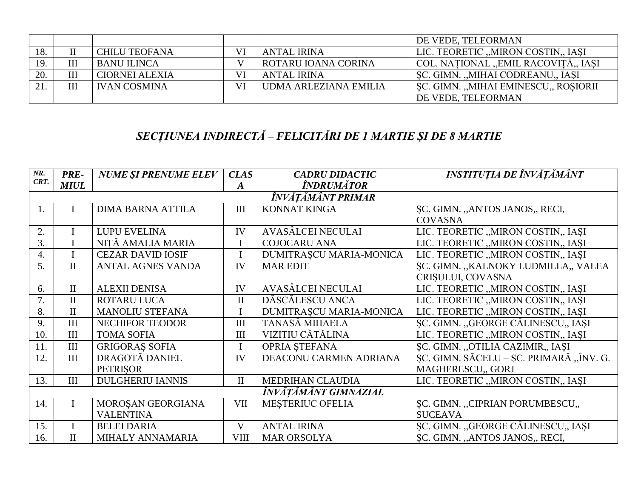|     |     |                       |    |                       | DE VEDE, TELEORMAN                   |
|-----|-----|-----------------------|----|-----------------------|--------------------------------------|
| 18. |     | <b>CHILU TEOFANA</b>  | VI | <b>ANTAL IRINA</b>    | LIC. TEORETIC "MIRON COSTIN., IASI   |
|     | III | <b>BANU ILINCA</b>    |    | ROTARU IOANA CORINA   | COL. NAȚIONAL "EMIL RACOVIȚĂ" IAȘI   |
| 20. | Ш   | <b>CIORNEI ALEXIA</b> | VI | <b>ANTAL IRINA</b>    | SC. GIMN. "MIHAI CODREANU,, IASI     |
|     | III | <b>IVAN COSMINA</b>   | VI | UDMA ARLEZIANA EMILIA | SC. GIMN. "MIHAI EMINESCU", ROȘIORII |
|     |     |                       |    |                       | DE VEDE, TELEORMAN                   |

# SECȚIUNEA INDIRECTĂ – FELICITĂRI DE 1 MARTIE ȘI DE 8 MARTIE

| NR.                  | <b>PRE-</b>       | <b>NUME ȘI PRENUME ELEV</b> | <b>CLAS</b>  | <b>CADRU DIDACTIC</b>   | INSTITUȚIA DE ÎNVĂȚĂMÂNT                |  |  |
|----------------------|-------------------|-----------------------------|--------------|-------------------------|-----------------------------------------|--|--|
| CRT.                 | <b>MIUL</b>       |                             | A            | ÎNDRUMĂTOR              |                                         |  |  |
|                      | ÎNVĂTĂMÂNT PRIMAR |                             |              |                         |                                         |  |  |
| 1.                   |                   | <b>DIMA BARNA ATTILA</b>    | III          | <b>KONNAT KINGA</b>     | SC. GIMN. "ANTOS JANOS" RECI,           |  |  |
|                      |                   |                             |              |                         | <b>COVASNA</b>                          |  |  |
| 2.                   |                   | <b>LUPU EVELINA</b>         | IV           | AVASÂLCEI NECULAI       | LIC. TEORETIC "MIRON COSTIN" IAȘI       |  |  |
| 3.                   |                   | NITĂ AMALIA MARIA           |              | <b>COJOCARU ANA</b>     | LIC. TEORETIC "MIRON COSTIN" IAȘI       |  |  |
| 4.                   |                   | <b>CEZAR DAVID IOSIF</b>    |              | DUMITRAȘCU MARIA-MONICA | LIC. TEORETIC "MIRON COSTIN" IAȘI       |  |  |
| 5.                   | $\mathbf{I}$      | <b>ANTAL AGNES VANDA</b>    | IV           | <b>MAR EDIT</b>         | SC. GIMN. "KALNOKY LUDMILLA,, VALEA     |  |  |
|                      |                   |                             |              |                         | CRISULUI, COVASNA                       |  |  |
| 6.                   | $\mathbf{I}$      | <b>ALEXII DENISA</b>        | IV           | AVASÂLCEI NECULAI       | LIC. TEORETIC "MIRON COSTIN., IASI      |  |  |
|                      | $\mathbf{I}$      | <b>ROTARU LUCA</b>          | $\mathbf{I}$ | DĂSCĂLESCU ANCA         | LIC. TEORETIC "MIRON COSTIN" IAȘI       |  |  |
| 8.                   | $\rm II$          | <b>MANOLIU STEFANA</b>      |              | DUMITRAȘCU MARIA-MONICA | LIC. TEORETIC "MIRON COSTIN" IAȘI       |  |  |
| 9.                   | III               | <b>NECHIFOR TEODOR</b>      | III          | TANASĂ MIHAELA          | ȘC. GIMN. "GEORGE CĂLINESCU,, IAȘI      |  |  |
| 10.                  | III               | <b>TOMA SOFIA</b>           | III          | VIZITIU CĂTĂLINA        | LIC. TEORETIC "MIRON COSTIN" IASI       |  |  |
| 11.                  | III               | <b>GRIGORAS SOFIA</b>       |              | <b>OPRIA STEFANA</b>    | ȘC. GIMN. "OTILIA CAZIMIR", IAȘI        |  |  |
| 12.                  | III               | DRAGOTĂ DANIEL              | IV           | DEACONU CARMEN ADRIANA  | SC. GIMN. SĂCELU – SC. PRIMARĂ "ÎNV. G. |  |  |
|                      |                   | <b>PETRISOR</b>             |              |                         | MAGHERESCU., GORJ                       |  |  |
| 13.                  | III               | <b>DULGHERIU IANNIS</b>     | $\mathbf{I}$ | <b>MEDRIHAN CLAUDIA</b> | LIC. TEORETIC "MIRON COSTIN" IAȘI       |  |  |
| ÎNVĂTĂMÂNT GIMNAZIAL |                   |                             |              |                         |                                         |  |  |
| 14.                  | I                 | MOROȘAN GEORGIANA           | VII          | <b>MESTERIUC OFELIA</b> | SC. GIMN. "CIPRIAN PORUMBESCU,,         |  |  |
|                      |                   | <b>VALENTINA</b>            |              |                         | <b>SUCEAVA</b>                          |  |  |
| 15.                  |                   | <b>BELEI DARIA</b>          | V            | <b>ANTAL IRINA</b>      | ȘC. GIMN. "GEORGE CĂLINESCU,, IAȘI      |  |  |
| 16.                  | $\mathbf{I}$      | MIHALY ANNAMARIA            | VIII         | <b>MAR ORSOLYA</b>      | SC. GIMN. "ANTOS JANOS., RECI,          |  |  |